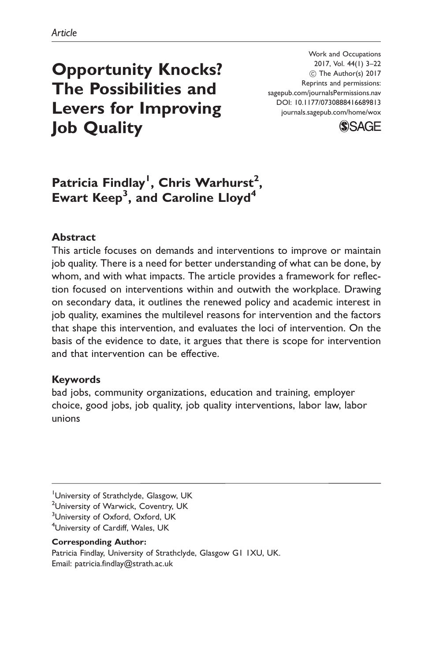# Opportunity Knocks? The Possibilities and Levers for Improving Job Quality

Work and Occupations 2017, Vol. 44(1) 3–22  $\circledcirc$  The Author(s) 2017 Reprints and permissions: sagepub.com/journalsPermissions.nav DOI: 10.1177/0730888416689813 <journals.sagepub.com/home/wox>



## Patricia Findlay<sup>1</sup>, Chris Warhurst<sup>2</sup>, Ewart Keep<sup>3</sup>, and Caroline Lloyd<sup>4</sup>

#### Abstract

This article focuses on demands and interventions to improve or maintain job quality. There is a need for better understanding of what can be done, by whom, and with what impacts. The article provides a framework for reflection focused on interventions within and outwith the workplace. Drawing on secondary data, it outlines the renewed policy and academic interest in job quality, examines the multilevel reasons for intervention and the factors that shape this intervention, and evaluates the loci of intervention. On the basis of the evidence to date, it argues that there is scope for intervention and that intervention can be effective.

#### Keywords

bad jobs, community organizations, education and training, employer choice, good jobs, job quality, job quality interventions, labor law, labor unions

#### Corresponding Author:

Patricia Findlay, University of Strathclyde, Glasgow G1 1XU, UK. Email: patricia.findlay@strath.ac.uk

<sup>&</sup>lt;sup>1</sup>University of Strathclyde, Glasgow, UK

<sup>&</sup>lt;sup>2</sup>University of Warwick, Coventry, UK

<sup>&</sup>lt;sup>3</sup>University of Oxford, Oxford, UK

<sup>4</sup> University of Cardiff, Wales, UK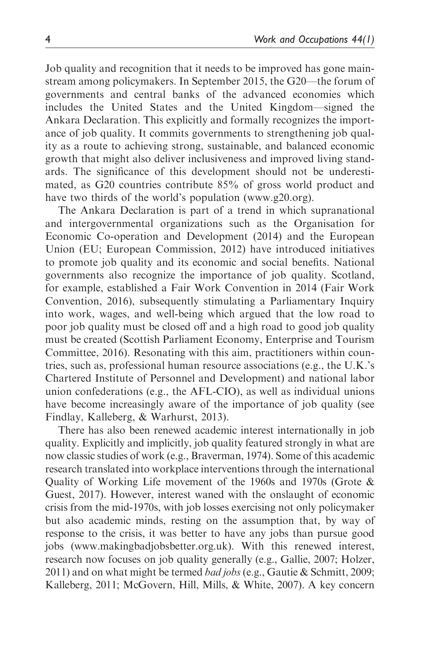Job quality and recognition that it needs to be improved has gone mainstream among policymakers. In September 2015, the G20—the forum of governments and central banks of the advanced economies which includes the United States and the United Kingdom—signed the Ankara Declaration. This explicitly and formally recognizes the importance of job quality. It commits governments to strengthening job quality as a route to achieving strong, sustainable, and balanced economic growth that might also deliver inclusiveness and improved living standards. The significance of this development should not be underestimated, as G20 countries contribute 85% of gross world product and have two thirds of the world's population ([www.g20.org\)](www.g20.org).

The Ankara Declaration is part of a trend in which supranational and intergovernmental organizations such as the Organisation for Economic Co-operation and Development (2014) and the European Union (EU; European Commission, 2012) have introduced initiatives to promote job quality and its economic and social benefits. National governments also recognize the importance of job quality. Scotland, for example, established a Fair Work Convention in 2014 (Fair Work Convention, 2016), subsequently stimulating a Parliamentary Inquiry into work, wages, and well-being which argued that the low road to poor job quality must be closed off and a high road to good job quality must be created (Scottish Parliament Economy, Enterprise and Tourism Committee, 2016). Resonating with this aim, practitioners within countries, such as, professional human resource associations (e.g., the U.K.'s Chartered Institute of Personnel and Development) and national labor union confederations (e.g., the AFL-CIO), as well as individual unions have become increasingly aware of the importance of job quality (see Findlay, Kalleberg, & Warhurst, 2013).

There has also been renewed academic interest internationally in job quality. Explicitly and implicitly, job quality featured strongly in what are now classic studies of work (e.g., Braverman, 1974). Some of this academic research translated into workplace interventions through the international Quality of Working Life movement of the 1960s and 1970s (Grote & Guest, 2017). However, interest waned with the onslaught of economic crisis from the mid-1970s, with job losses exercising not only policymaker but also academic minds, resting on the assumption that, by way of response to the crisis, it was better to have any jobs than pursue good jobs ([www.makingbadjobsbetter.org.uk\)](www.makingbadjobsbetter.org.uk). With this renewed interest, research now focuses on job quality generally (e.g., Gallie, 2007; Holzer, 2011) and on what might be termed bad jobs (e.g., Gautie & Schmitt, 2009; Kalleberg, 2011; McGovern, Hill, Mills, & White, 2007). A key concern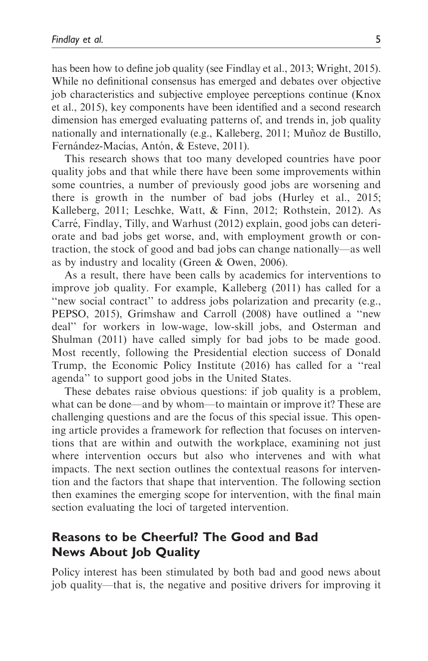has been how to define job quality (see Findlay et al., 2013; Wright, 2015). While no definitional consensus has emerged and debates over objective job characteristics and subjective employee perceptions continue (Knox et al., 2015), key components have been identified and a second research dimension has emerged evaluating patterns of, and trends in, job quality nationally and internationally (e.g., Kalleberg, 2011; Muñoz de Bustillo, Fernández-Macías, Antón, & Esteve, 2011).

This research shows that too many developed countries have poor quality jobs and that while there have been some improvements within some countries, a number of previously good jobs are worsening and there is growth in the number of bad jobs (Hurley et al., 2015; Kalleberg, 2011; Leschke, Watt, & Finn, 2012; Rothstein, 2012). As Carré, Findlay, Tilly, and Warhust (2012) explain, good jobs can deteriorate and bad jobs get worse, and, with employment growth or contraction, the stock of good and bad jobs can change nationally—as well as by industry and locality (Green & Owen, 2006).

As a result, there have been calls by academics for interventions to improve job quality. For example, Kalleberg (2011) has called for a "new social contract" to address jobs polarization and precarity (e.g., PEPSO, 2015), Grimshaw and Carroll (2008) have outlined a ''new deal'' for workers in low-wage, low-skill jobs, and Osterman and Shulman (2011) have called simply for bad jobs to be made good. Most recently, following the Presidential election success of Donald Trump, the Economic Policy Institute (2016) has called for a ''real agenda'' to support good jobs in the United States.

These debates raise obvious questions: if job quality is a problem, what can be done—and by whom—to maintain or improve it? These are challenging questions and are the focus of this special issue. This opening article provides a framework for reflection that focuses on interventions that are within and outwith the workplace, examining not just where intervention occurs but also who intervenes and with what impacts. The next section outlines the contextual reasons for intervention and the factors that shape that intervention. The following section then examines the emerging scope for intervention, with the final main section evaluating the loci of targeted intervention.

## Reasons to be Cheerful? The Good and Bad News About Job Quality

Policy interest has been stimulated by both bad and good news about job quality—that is, the negative and positive drivers for improving it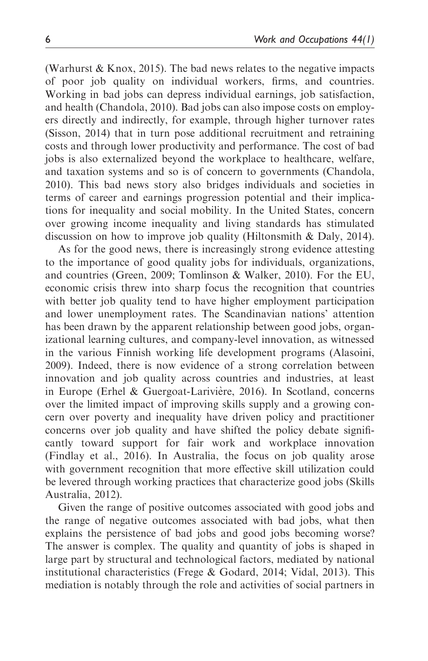(Warhurst & Knox, 2015). The bad news relates to the negative impacts of poor job quality on individual workers, firms, and countries. Working in bad jobs can depress individual earnings, job satisfaction, and health (Chandola, 2010). Bad jobs can also impose costs on employers directly and indirectly, for example, through higher turnover rates (Sisson, 2014) that in turn pose additional recruitment and retraining costs and through lower productivity and performance. The cost of bad jobs is also externalized beyond the workplace to healthcare, welfare, and taxation systems and so is of concern to governments (Chandola, 2010). This bad news story also bridges individuals and societies in terms of career and earnings progression potential and their implications for inequality and social mobility. In the United States, concern over growing income inequality and living standards has stimulated discussion on how to improve job quality (Hiltonsmith & Daly, 2014).

As for the good news, there is increasingly strong evidence attesting to the importance of good quality jobs for individuals, organizations, and countries (Green, 2009; Tomlinson & Walker, 2010). For the EU, economic crisis threw into sharp focus the recognition that countries with better job quality tend to have higher employment participation and lower unemployment rates. The Scandinavian nations' attention has been drawn by the apparent relationship between good jobs, organizational learning cultures, and company-level innovation, as witnessed in the various Finnish working life development programs (Alasoini, 2009). Indeed, there is now evidence of a strong correlation between innovation and job quality across countries and industries, at least in Europe (Erhel  $& Guergoat-Larivière, 2016$ ). In Scotland, concerns over the limited impact of improving skills supply and a growing concern over poverty and inequality have driven policy and practitioner concerns over job quality and have shifted the policy debate significantly toward support for fair work and workplace innovation (Findlay et al., 2016). In Australia, the focus on job quality arose with government recognition that more effective skill utilization could be levered through working practices that characterize good jobs (Skills Australia, 2012).

Given the range of positive outcomes associated with good jobs and the range of negative outcomes associated with bad jobs, what then explains the persistence of bad jobs and good jobs becoming worse? The answer is complex. The quality and quantity of jobs is shaped in large part by structural and technological factors, mediated by national institutional characteristics (Frege & Godard, 2014; Vidal, 2013). This mediation is notably through the role and activities of social partners in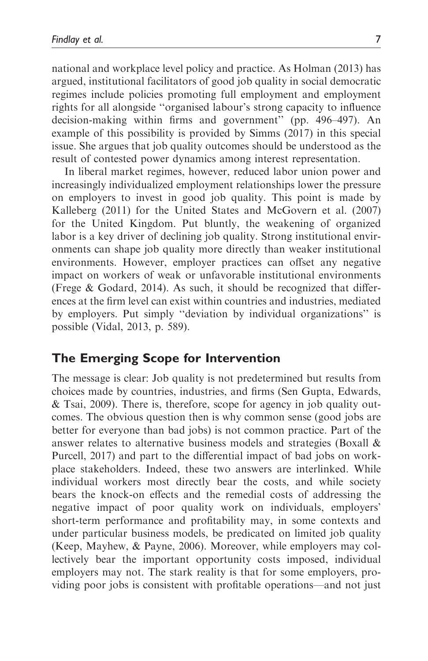national and workplace level policy and practice. As Holman (2013) has argued, institutional facilitators of good job quality in social democratic regimes include policies promoting full employment and employment rights for all alongside ''organised labour's strong capacity to influence decision-making within firms and government'' (pp. 496–497). An example of this possibility is provided by Simms (2017) in this special issue. She argues that job quality outcomes should be understood as the result of contested power dynamics among interest representation.

In liberal market regimes, however, reduced labor union power and increasingly individualized employment relationships lower the pressure on employers to invest in good job quality. This point is made by Kalleberg (2011) for the United States and McGovern et al. (2007) for the United Kingdom. Put bluntly, the weakening of organized labor is a key driver of declining job quality. Strong institutional environments can shape job quality more directly than weaker institutional environments. However, employer practices can offset any negative impact on workers of weak or unfavorable institutional environments (Frege & Godard, 2014). As such, it should be recognized that differences at the firm level can exist within countries and industries, mediated by employers. Put simply ''deviation by individual organizations'' is possible (Vidal, 2013, p. 589).

## The Emerging Scope for Intervention

The message is clear: Job quality is not predetermined but results from choices made by countries, industries, and firms (Sen Gupta, Edwards, & Tsai, 2009). There is, therefore, scope for agency in job quality outcomes. The obvious question then is why common sense (good jobs are better for everyone than bad jobs) is not common practice. Part of the answer relates to alternative business models and strategies (Boxall & Purcell, 2017) and part to the differential impact of bad jobs on workplace stakeholders. Indeed, these two answers are interlinked. While individual workers most directly bear the costs, and while society bears the knock-on effects and the remedial costs of addressing the negative impact of poor quality work on individuals, employers' short-term performance and profitability may, in some contexts and under particular business models, be predicated on limited job quality (Keep, Mayhew, & Payne, 2006). Moreover, while employers may collectively bear the important opportunity costs imposed, individual employers may not. The stark reality is that for some employers, providing poor jobs is consistent with profitable operations—and not just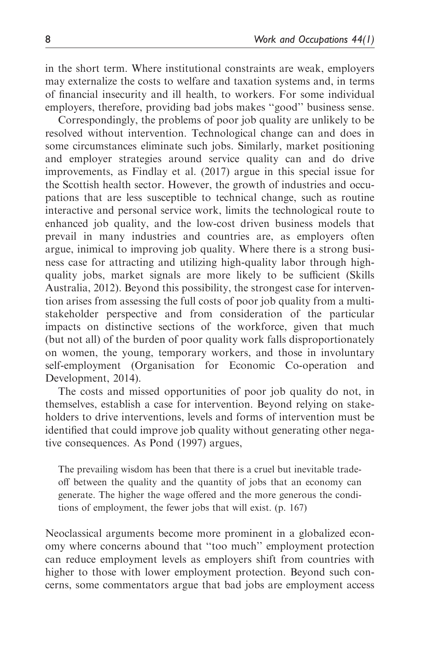in the short term. Where institutional constraints are weak, employers may externalize the costs to welfare and taxation systems and, in terms of financial insecurity and ill health, to workers. For some individual employers, therefore, providing bad jobs makes ''good'' business sense.

Correspondingly, the problems of poor job quality are unlikely to be resolved without intervention. Technological change can and does in some circumstances eliminate such jobs. Similarly, market positioning and employer strategies around service quality can and do drive improvements, as Findlay et al. (2017) argue in this special issue for the Scottish health sector. However, the growth of industries and occupations that are less susceptible to technical change, such as routine interactive and personal service work, limits the technological route to enhanced job quality, and the low-cost driven business models that prevail in many industries and countries are, as employers often argue, inimical to improving job quality. Where there is a strong business case for attracting and utilizing high-quality labor through highquality jobs, market signals are more likely to be sufficient (Skills Australia, 2012). Beyond this possibility, the strongest case for intervention arises from assessing the full costs of poor job quality from a multistakeholder perspective and from consideration of the particular impacts on distinctive sections of the workforce, given that much (but not all) of the burden of poor quality work falls disproportionately on women, the young, temporary workers, and those in involuntary self-employment (Organisation for Economic Co-operation and Development, 2014).

The costs and missed opportunities of poor job quality do not, in themselves, establish a case for intervention. Beyond relying on stakeholders to drive interventions, levels and forms of intervention must be identified that could improve job quality without generating other negative consequences. As Pond (1997) argues,

The prevailing wisdom has been that there is a cruel but inevitable tradeoff between the quality and the quantity of jobs that an economy can generate. The higher the wage offered and the more generous the conditions of employment, the fewer jobs that will exist. (p. 167)

Neoclassical arguments become more prominent in a globalized economy where concerns abound that ''too much'' employment protection can reduce employment levels as employers shift from countries with higher to those with lower employment protection. Beyond such concerns, some commentators argue that bad jobs are employment access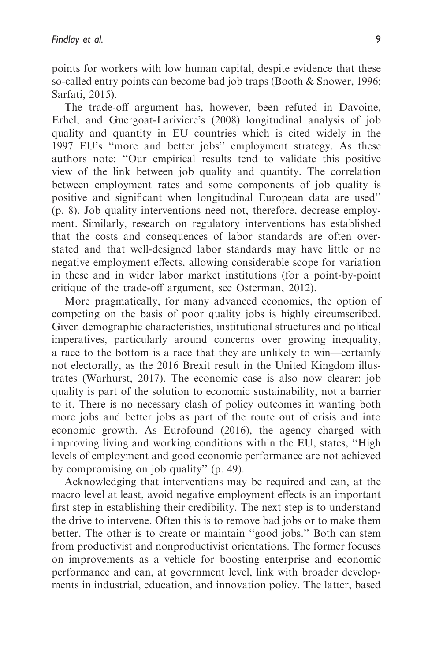points for workers with low human capital, despite evidence that these so-called entry points can become bad job traps (Booth & Snower, 1996; Sarfati, 2015).

The trade-off argument has, however, been refuted in Davoine, Erhel, and Guergoat-Lariviere's (2008) longitudinal analysis of job quality and quantity in EU countries which is cited widely in the 1997 EU's ''more and better jobs'' employment strategy. As these authors note: ''Our empirical results tend to validate this positive view of the link between job quality and quantity. The correlation between employment rates and some components of job quality is positive and significant when longitudinal European data are used'' (p. 8). Job quality interventions need not, therefore, decrease employment. Similarly, research on regulatory interventions has established that the costs and consequences of labor standards are often overstated and that well-designed labor standards may have little or no negative employment effects, allowing considerable scope for variation in these and in wider labor market institutions (for a point-by-point critique of the trade-off argument, see Osterman, 2012).

More pragmatically, for many advanced economies, the option of competing on the basis of poor quality jobs is highly circumscribed. Given demographic characteristics, institutional structures and political imperatives, particularly around concerns over growing inequality, a race to the bottom is a race that they are unlikely to win—certainly not electorally, as the 2016 Brexit result in the United Kingdom illustrates (Warhurst, 2017). The economic case is also now clearer: job quality is part of the solution to economic sustainability, not a barrier to it. There is no necessary clash of policy outcomes in wanting both more jobs and better jobs as part of the route out of crisis and into economic growth. As Eurofound (2016), the agency charged with improving living and working conditions within the EU, states, ''High levels of employment and good economic performance are not achieved by compromising on job quality'' (p. 49).

Acknowledging that interventions may be required and can, at the macro level at least, avoid negative employment effects is an important first step in establishing their credibility. The next step is to understand the drive to intervene. Often this is to remove bad jobs or to make them better. The other is to create or maintain ''good jobs.'' Both can stem from productivist and nonproductivist orientations. The former focuses on improvements as a vehicle for boosting enterprise and economic performance and can, at government level, link with broader developments in industrial, education, and innovation policy. The latter, based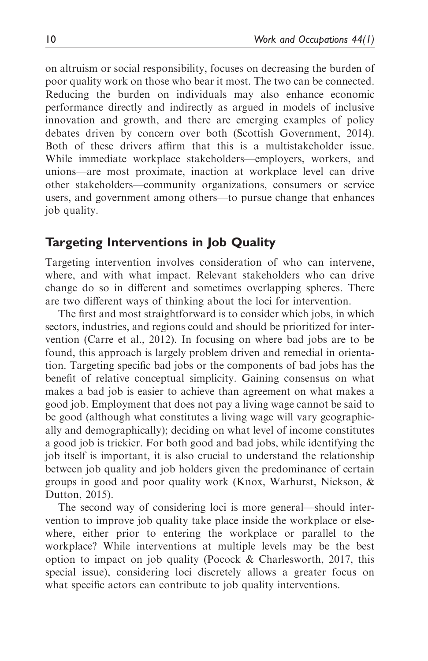on altruism or social responsibility, focuses on decreasing the burden of poor quality work on those who bear it most. The two can be connected. Reducing the burden on individuals may also enhance economic performance directly and indirectly as argued in models of inclusive innovation and growth, and there are emerging examples of policy debates driven by concern over both (Scottish Government, 2014). Both of these drivers affirm that this is a multistakeholder issue. While immediate workplace stakeholders—employers, workers, and unions—are most proximate, inaction at workplace level can drive other stakeholders—community organizations, consumers or service users, and government among others—to pursue change that enhances job quality.

## Targeting Interventions in Job Quality

Targeting intervention involves consideration of who can intervene, where, and with what impact. Relevant stakeholders who can drive change do so in different and sometimes overlapping spheres. There are two different ways of thinking about the loci for intervention.

The first and most straightforward is to consider which jobs, in which sectors, industries, and regions could and should be prioritized for intervention (Carre et al., 2012). In focusing on where bad jobs are to be found, this approach is largely problem driven and remedial in orientation. Targeting specific bad jobs or the components of bad jobs has the benefit of relative conceptual simplicity. Gaining consensus on what makes a bad job is easier to achieve than agreement on what makes a good job. Employment that does not pay a living wage cannot be said to be good (although what constitutes a living wage will vary geographically and demographically); deciding on what level of income constitutes a good job is trickier. For both good and bad jobs, while identifying the job itself is important, it is also crucial to understand the relationship between job quality and job holders given the predominance of certain groups in good and poor quality work (Knox, Warhurst, Nickson, & Dutton, 2015).

The second way of considering loci is more general—should intervention to improve job quality take place inside the workplace or elsewhere, either prior to entering the workplace or parallel to the workplace? While interventions at multiple levels may be the best option to impact on job quality (Pocock & Charlesworth, 2017, this special issue), considering loci discretely allows a greater focus on what specific actors can contribute to job quality interventions.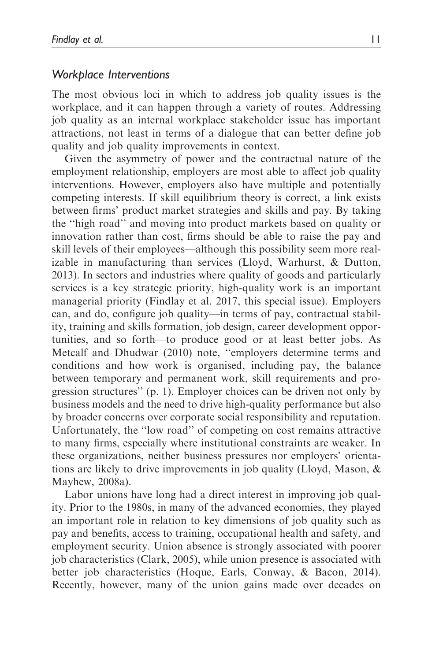#### Workplace Interventions

The most obvious loci in which to address job quality issues is the workplace, and it can happen through a variety of routes. Addressing job quality as an internal workplace stakeholder issue has important attractions, not least in terms of a dialogue that can better define job quality and job quality improvements in context.

Given the asymmetry of power and the contractual nature of the employment relationship, employers are most able to affect job quality interventions. However, employers also have multiple and potentially competing interests. If skill equilibrium theory is correct, a link exists between firms' product market strategies and skills and pay. By taking the ''high road'' and moving into product markets based on quality or innovation rather than cost, firms should be able to raise the pay and skill levels of their employees—although this possibility seem more realizable in manufacturing than services (Lloyd, Warhurst, & Dutton, 2013). In sectors and industries where quality of goods and particularly services is a key strategic priority, high-quality work is an important managerial priority (Findlay et al. 2017, this special issue). Employers can, and do, configure job quality—in terms of pay, contractual stability, training and skills formation, job design, career development opportunities, and so forth—to produce good or at least better jobs. As Metcalf and Dhudwar (2010) note, ''employers determine terms and conditions and how work is organised, including pay, the balance between temporary and permanent work, skill requirements and progression structures'' (p. 1). Employer choices can be driven not only by business models and the need to drive high-quality performance but also by broader concerns over corporate social responsibility and reputation. Unfortunately, the ''low road'' of competing on cost remains attractive to many firms, especially where institutional constraints are weaker. In these organizations, neither business pressures nor employers' orientations are likely to drive improvements in job quality (Lloyd, Mason, & Mayhew, 2008a).

Labor unions have long had a direct interest in improving job quality. Prior to the 1980s, in many of the advanced economies, they played an important role in relation to key dimensions of job quality such as pay and benefits, access to training, occupational health and safety, and employment security. Union absence is strongly associated with poorer job characteristics (Clark, 2005), while union presence is associated with better job characteristics (Hoque, Earls, Conway, & Bacon, 2014). Recently, however, many of the union gains made over decades on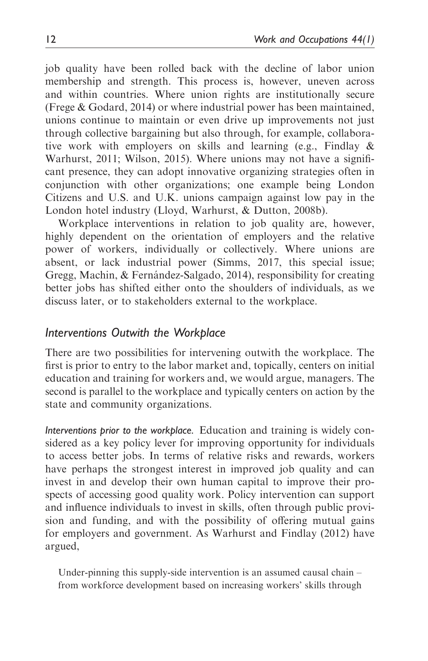job quality have been rolled back with the decline of labor union membership and strength. This process is, however, uneven across and within countries. Where union rights are institutionally secure (Frege & Godard, 2014) or where industrial power has been maintained, unions continue to maintain or even drive up improvements not just through collective bargaining but also through, for example, collaborative work with employers on skills and learning (e.g., Findlay & Warhurst, 2011; Wilson, 2015). Where unions may not have a significant presence, they can adopt innovative organizing strategies often in conjunction with other organizations; one example being London Citizens and U.S. and U.K. unions campaign against low pay in the London hotel industry (Lloyd, Warhurst, & Dutton, 2008b).

Workplace interventions in relation to job quality are, however, highly dependent on the orientation of employers and the relative power of workers, individually or collectively. Where unions are absent, or lack industrial power (Simms, 2017, this special issue; Gregg, Machin, & Fernández-Salgado, 2014), responsibility for creating better jobs has shifted either onto the shoulders of individuals, as we discuss later, or to stakeholders external to the workplace.

## Interventions Outwith the Workplace

There are two possibilities for intervening outwith the workplace. The first is prior to entry to the labor market and, topically, centers on initial education and training for workers and, we would argue, managers. The second is parallel to the workplace and typically centers on action by the state and community organizations.

Interventions prior to the workplace. Education and training is widely considered as a key policy lever for improving opportunity for individuals to access better jobs. In terms of relative risks and rewards, workers have perhaps the strongest interest in improved job quality and can invest in and develop their own human capital to improve their prospects of accessing good quality work. Policy intervention can support and influence individuals to invest in skills, often through public provision and funding, and with the possibility of offering mutual gains for employers and government. As Warhurst and Findlay (2012) have argued,

Under-pinning this supply-side intervention is an assumed causal chain – from workforce development based on increasing workers' skills through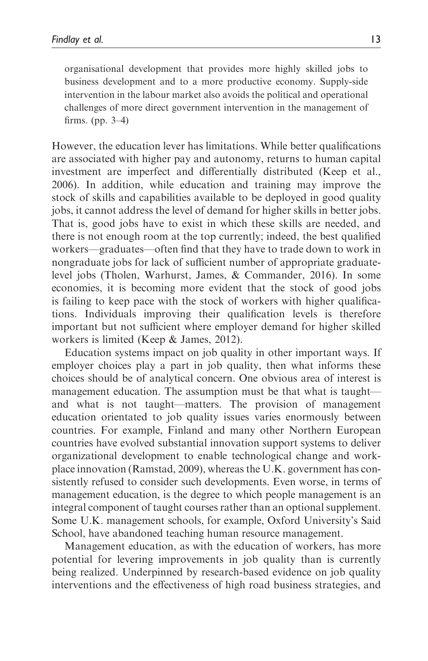organisational development that provides more highly skilled jobs to business development and to a more productive economy. Supply-side intervention in the labour market also avoids the political and operational challenges of more direct government intervention in the management of firms. (pp. 3–4)

However, the education lever has limitations. While better qualifications are associated with higher pay and autonomy, returns to human capital investment are imperfect and differentially distributed (Keep et al., 2006). In addition, while education and training may improve the stock of skills and capabilities available to be deployed in good quality jobs, it cannot address the level of demand for higher skills in better jobs. That is, good jobs have to exist in which these skills are needed, and there is not enough room at the top currently; indeed, the best qualified workers—graduates—often find that they have to trade down to work in nongraduate jobs for lack of sufficient number of appropriate graduatelevel jobs (Tholen, Warhurst, James, & Commander, 2016). In some economies, it is becoming more evident that the stock of good jobs is failing to keep pace with the stock of workers with higher qualifications. Individuals improving their qualification levels is therefore important but not sufficient where employer demand for higher skilled workers is limited (Keep & James, 2012).

Education systems impact on job quality in other important ways. If employer choices play a part in job quality, then what informs these choices should be of analytical concern. One obvious area of interest is management education. The assumption must be that what is taught and what is not taught—matters. The provision of management education orientated to job quality issues varies enormously between countries. For example, Finland and many other Northern European countries have evolved substantial innovation support systems to deliver organizational development to enable technological change and workplace innovation (Ramstad, 2009), whereas the U.K. government has consistently refused to consider such developments. Even worse, in terms of management education, is the degree to which people management is an integral component of taught courses rather than an optional supplement. Some U.K. management schools, for example, Oxford University's Said School, have abandoned teaching human resource management.

Management education, as with the education of workers, has more potential for levering improvements in job quality than is currently being realized. Underpinned by research-based evidence on job quality interventions and the effectiveness of high road business strategies, and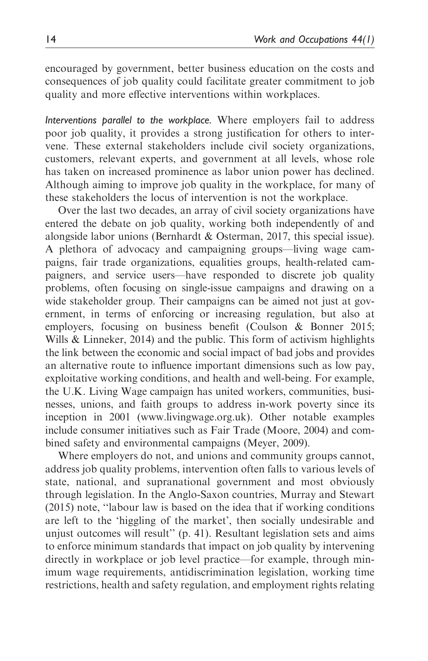encouraged by government, better business education on the costs and consequences of job quality could facilitate greater commitment to job quality and more effective interventions within workplaces.

Interventions parallel to the workplace. Where employers fail to address poor job quality, it provides a strong justification for others to intervene. These external stakeholders include civil society organizations, customers, relevant experts, and government at all levels, whose role has taken on increased prominence as labor union power has declined. Although aiming to improve job quality in the workplace, for many of these stakeholders the locus of intervention is not the workplace.

Over the last two decades, an array of civil society organizations have entered the debate on job quality, working both independently of and alongside labor unions (Bernhardt & Osterman, 2017, this special issue). A plethora of advocacy and campaigning groups—living wage campaigns, fair trade organizations, equalities groups, health-related campaigners, and service users—have responded to discrete job quality problems, often focusing on single-issue campaigns and drawing on a wide stakeholder group. Their campaigns can be aimed not just at government, in terms of enforcing or increasing regulation, but also at employers, focusing on business benefit (Coulson & Bonner 2015; Wills & Linneker, 2014) and the public. This form of activism highlights the link between the economic and social impact of bad jobs and provides an alternative route to influence important dimensions such as low pay, exploitative working conditions, and health and well-being. For example, the U.K. Living Wage campaign has united workers, communities, businesses, unions, and faith groups to address in-work poverty since its inception in 2001 [\(www.livingwage.org.uk](www.livingwage.org.uk)). Other notable examples include consumer initiatives such as Fair Trade (Moore, 2004) and combined safety and environmental campaigns (Meyer, 2009).

Where employers do not, and unions and community groups cannot, address job quality problems, intervention often falls to various levels of state, national, and supranational government and most obviously through legislation. In the Anglo-Saxon countries, Murray and Stewart (2015) note, ''labour law is based on the idea that if working conditions are left to the 'higgling of the market', then socially undesirable and unjust outcomes will result'' (p. 41). Resultant legislation sets and aims to enforce minimum standards that impact on job quality by intervening directly in workplace or job level practice—for example, through minimum wage requirements, antidiscrimination legislation, working time restrictions, health and safety regulation, and employment rights relating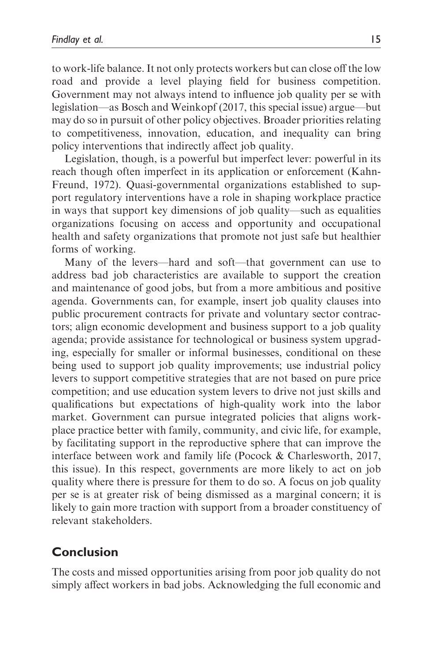to work-life balance. It not only protects workers but can close off the low road and provide a level playing field for business competition. Government may not always intend to influence job quality per se with legislation—as Bosch and Weinkopf (2017, this special issue) argue—but may do so in pursuit of other policy objectives. Broader priorities relating to competitiveness, innovation, education, and inequality can bring policy interventions that indirectly affect job quality.

Legislation, though, is a powerful but imperfect lever: powerful in its reach though often imperfect in its application or enforcement (Kahn-Freund, 1972). Quasi-governmental organizations established to support regulatory interventions have a role in shaping workplace practice in ways that support key dimensions of job quality—such as equalities organizations focusing on access and opportunity and occupational health and safety organizations that promote not just safe but healthier forms of working.

Many of the levers—hard and soft—that government can use to address bad job characteristics are available to support the creation and maintenance of good jobs, but from a more ambitious and positive agenda. Governments can, for example, insert job quality clauses into public procurement contracts for private and voluntary sector contractors; align economic development and business support to a job quality agenda; provide assistance for technological or business system upgrading, especially for smaller or informal businesses, conditional on these being used to support job quality improvements; use industrial policy levers to support competitive strategies that are not based on pure price competition; and use education system levers to drive not just skills and qualifications but expectations of high-quality work into the labor market. Government can pursue integrated policies that aligns workplace practice better with family, community, and civic life, for example, by facilitating support in the reproductive sphere that can improve the interface between work and family life (Pocock & Charlesworth, 2017, this issue). In this respect, governments are more likely to act on job quality where there is pressure for them to do so. A focus on job quality per se is at greater risk of being dismissed as a marginal concern; it is likely to gain more traction with support from a broader constituency of relevant stakeholders.

## Conclusion

The costs and missed opportunities arising from poor job quality do not simply affect workers in bad jobs. Acknowledging the full economic and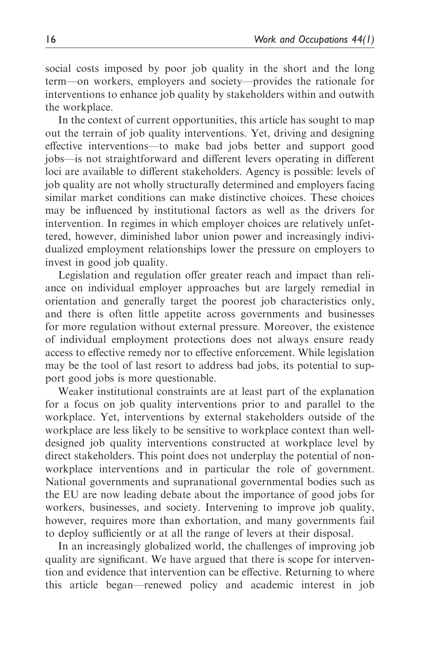social costs imposed by poor job quality in the short and the long term—on workers, employers and society—provides the rationale for interventions to enhance job quality by stakeholders within and outwith the workplace.

In the context of current opportunities, this article has sought to map out the terrain of job quality interventions. Yet, driving and designing effective interventions—to make bad jobs better and support good jobs—is not straightforward and different levers operating in different loci are available to different stakeholders. Agency is possible: levels of job quality are not wholly structurally determined and employers facing similar market conditions can make distinctive choices. These choices may be influenced by institutional factors as well as the drivers for intervention. In regimes in which employer choices are relatively unfettered, however, diminished labor union power and increasingly individualized employment relationships lower the pressure on employers to invest in good job quality.

Legislation and regulation offer greater reach and impact than reliance on individual employer approaches but are largely remedial in orientation and generally target the poorest job characteristics only, and there is often little appetite across governments and businesses for more regulation without external pressure. Moreover, the existence of individual employment protections does not always ensure ready access to effective remedy nor to effective enforcement. While legislation may be the tool of last resort to address bad jobs, its potential to support good jobs is more questionable.

Weaker institutional constraints are at least part of the explanation for a focus on job quality interventions prior to and parallel to the workplace. Yet, interventions by external stakeholders outside of the workplace are less likely to be sensitive to workplace context than welldesigned job quality interventions constructed at workplace level by direct stakeholders. This point does not underplay the potential of nonworkplace interventions and in particular the role of government. National governments and supranational governmental bodies such as the EU are now leading debate about the importance of good jobs for workers, businesses, and society. Intervening to improve job quality, however, requires more than exhortation, and many governments fail to deploy sufficiently or at all the range of levers at their disposal.

In an increasingly globalized world, the challenges of improving job quality are significant. We have argued that there is scope for intervention and evidence that intervention can be effective. Returning to where this article began—renewed policy and academic interest in job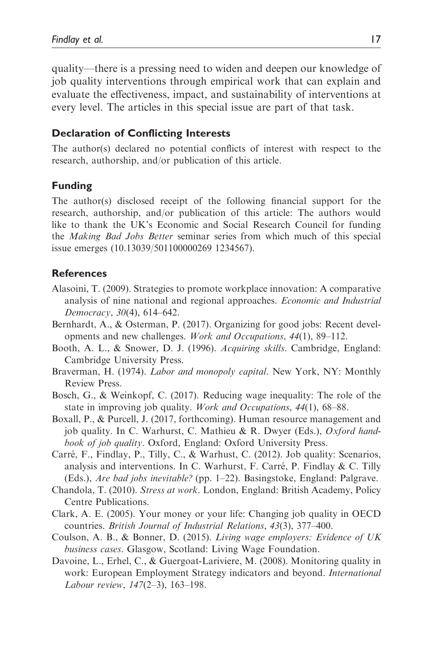quality—there is a pressing need to widen and deepen our knowledge of job quality interventions through empirical work that can explain and evaluate the effectiveness, impact, and sustainability of interventions at every level. The articles in this special issue are part of that task.

#### Declaration of Conflicting Interests

The author(s) declared no potential conflicts of interest with respect to the research, authorship, and/or publication of this article.

#### Funding

The author(s) disclosed receipt of the following financial support for the research, authorship, and/or publication of this article: The authors would like to thank the UK's Economic and Social Research Council for funding the Making Bad Jobs Better seminar series from which much of this special issue emerges (10.13039/501100000269 1234567).

#### **References**

- Alasoini, T. (2009). Strategies to promote workplace innovation: A comparative analysis of nine national and regional approaches. Economic and Industrial Democracy, 30(4), 614–642.
- Bernhardt, A., & Osterman, P. (2017). Organizing for good jobs: Recent developments and new challenges. Work and Occupations, 44(1), 89–112.
- Booth, A. L., & Snower, D. J. (1996). Acquiring skills. Cambridge, England: Cambridge University Press.
- Braverman, H. (1974). Labor and monopoly capital. New York, NY: Monthly Review Press.
- Bosch, G., & Weinkopf, C. (2017). Reducing wage inequality: The role of the state in improving job quality. Work and Occupations, 44(1), 68–88.
- Boxall, P., & Purcell, J. (2017, forthcoming). Human resource management and job quality. In C. Warhurst, C. Mathieu & R. Dwyer (Eds.), Oxford handbook of job quality. Oxford, England: Oxford University Press.
- Carré, F., Findlay, P., Tilly, C., & Warhust, C. (2012). Job quality: Scenarios, analysis and interventions. In C. Warhurst, F. Carré, P. Findlay  $&$  C. Tilly (Eds.), Are bad jobs inevitable? (pp. 1–22). Basingstoke, England: Palgrave.
- Chandola, T. (2010). Stress at work. London, England: British Academy, Policy Centre Publications.
- Clark, A. E. (2005). Your money or your life: Changing job quality in OECD countries. British Journal of Industrial Relations, 43(3), 377–400.
- Coulson, A. B., & Bonner, D. (2015). Living wage employers: Evidence of UK business cases. Glasgow, Scotland: Living Wage Foundation.
- Davoine, L., Erhel, C., & Guergoat-Lariviere, M. (2008). Monitoring quality in work: European Employment Strategy indicators and beyond. International Labour review, 147(2–3), 163–198.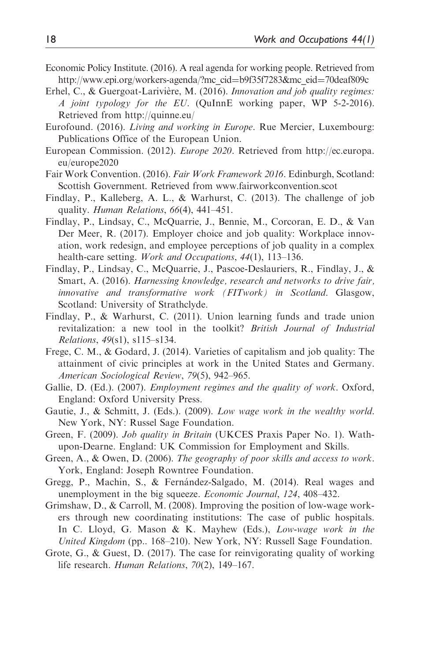- Economic Policy Institute. (2016). A real agenda for working people. Retrieved from [http://www.epi.org/workers-agenda/?mc\\_cid](http://www.epi.org/workers-agenda/?mc_cid=b9f35f7283&mc_eid=70deaf809c)=[b9f35f7283&mc\\_eid](http://www.epi.org/workers-agenda/?mc_cid=b9f35f7283&mc_eid=70deaf809c)=[70deaf809c](http://www.epi.org/workers-agenda/?mc_cid=b9f35f7283&mc_eid=70deaf809c)
- Erhel, C., & Guergoat-Larivière, M. (2016). Innovation and job quality regimes: A joint typology for the EU. (QuInnE working paper, WP 5-2-2016). Retrieved from<http://quinne.eu/>
- Eurofound. (2016). Living and working in Europe. Rue Mercier, Luxembourg: Publications Office of the European Union.
- European Commission. (2012). Europe 2020. Retrieved from [http://ec.europa.](http://ec.europa.eu/europe2020) [eu/europe2020](http://ec.europa.eu/europe2020)
- Fair Work Convention. (2016). Fair Work Framework 2016. Edinburgh, Scotland: Scottish Government. Retrieved from www.fairworkconvention.scot
- Findlay, P., Kalleberg, A. L., & Warhurst, C. (2013). The challenge of job quality. Human Relations, 66(4), 441–451.
- Findlay, P., Lindsay, C., McQuarrie, J., Bennie, M., Corcoran, E. D., & Van Der Meer, R. (2017). Employer choice and job quality: Workplace innovation, work redesign, and employee perceptions of job quality in a complex health-care setting. Work and Occupations, 44(1), 113-136.
- Findlay, P., Lindsay, C., McQuarrie, J., Pascoe-Deslauriers, R., Findlay, J., & Smart, A. (2016). Harnessing knowledge, research and networks to drive fair, innovative and transformative work (FITwork) in Scotland. Glasgow, Scotland: University of Strathclyde.
- Findlay, P., & Warhurst, C. (2011). Union learning funds and trade union revitalization: a new tool in the toolkit? British Journal of Industrial Relations, 49(s1), s115–s134.
- Frege, C. M., & Godard, J. (2014). Varieties of capitalism and job quality: The attainment of civic principles at work in the United States and Germany. American Sociological Review, 79(5), 942–965.
- Gallie, D. (Ed.). (2007). *Employment regimes and the quality of work*. Oxford, England: Oxford University Press.
- Gautie, J., & Schmitt, J. (Eds.). (2009). Low wage work in the wealthy world. New York, NY: Russel Sage Foundation.
- Green, F. (2009). Job quality in Britain (UKCES Praxis Paper No. 1). Wathupon-Dearne. England: UK Commission for Employment and Skills.
- Green, A., & Owen, D. (2006). The geography of poor skills and access to work. York, England: Joseph Rowntree Foundation.
- Gregg, P., Machin, S., & Fernández-Salgado, M. (2014). Real wages and unemployment in the big squeeze. Economic Journal, 124, 408–432.
- Grimshaw, D., & Carroll, M. (2008). Improving the position of low-wage workers through new coordinating institutions: The case of public hospitals. In C. Lloyd, G. Mason & K. Mayhew (Eds.), Low-wage work in the United Kingdom (pp.. 168–210). New York, NY: Russell Sage Foundation.
- Grote, G., & Guest, D. (2017). The case for reinvigorating quality of working life research. Human Relations, 70(2), 149–167.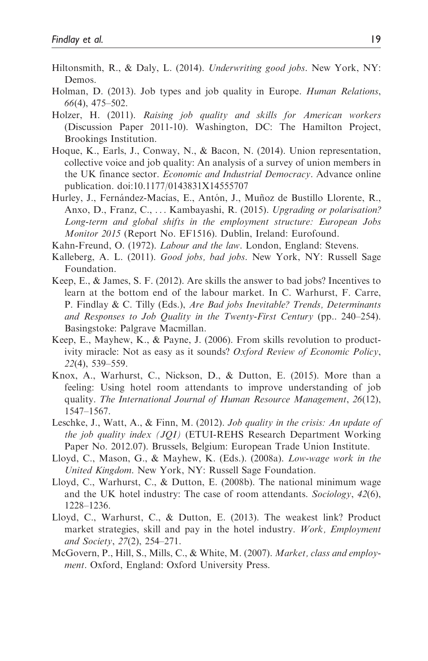- Hiltonsmith, R., & Daly, L. (2014). Underwriting good jobs. New York, NY: Demos.
- Holman, D. (2013). Job types and job quality in Europe. Human Relations, 66(4), 475–502.
- Holzer, H. (2011). Raising job quality and skills for American workers (Discussion Paper 2011-10). Washington, DC: The Hamilton Project, Brookings Institution.
- Hoque, K., Earls, J., Conway, N., & Bacon, N. (2014). Union representation, collective voice and job quality: An analysis of a survey of union members in the UK finance sector. Economic and Industrial Democracy. Advance online publication. doi:10.1177/0143831X14555707
- Hurley, J., Fernández-Macías, E., Antón, J., Muñoz de Bustillo Llorente, R., Anxo, D., Franz, C., ... Kambayashi, R. (2015). Upgrading or polarisation? Long-term and global shifts in the employment structure: European Jobs Monitor 2015 (Report No. EF1516). Dublin, Ireland: Eurofound.
- Kahn-Freund, O. (1972). Labour and the law. London, England: Stevens.
- Kalleberg, A. L. (2011). Good jobs, bad jobs. New York, NY: Russell Sage Foundation.
- Keep, E., & James, S. F. (2012). Are skills the answer to bad jobs? Incentives to learn at the bottom end of the labour market. In C. Warhurst, F. Carre, P. Findlay & C. Tilly (Eds.), Are Bad jobs Inevitable? Trends, Determinants and Responses to Job Quality in the Twenty-First Century (pp.. 240–254). Basingstoke: Palgrave Macmillan.
- Keep, E., Mayhew, K., & Payne, J. (2006). From skills revolution to productivity miracle: Not as easy as it sounds? Oxford Review of Economic Policy, 22(4), 539–559.
- Knox, A., Warhurst, C., Nickson, D., & Dutton, E. (2015). More than a feeling: Using hotel room attendants to improve understanding of job quality. The International Journal of Human Resource Management, 26(12), 1547–1567.
- Leschke, J., Watt, A., & Finn, M. (2012). Job quality in the crisis: An update of the job quality index (JQI) (ETUI-REHS Research Department Working Paper No. 2012.07). Brussels, Belgium: European Trade Union Institute.
- Lloyd, C., Mason, G., & Mayhew, K. (Eds.). (2008a). Low-wage work in the United Kingdom. New York, NY: Russell Sage Foundation.
- Lloyd, C., Warhurst, C., & Dutton, E. (2008b). The national minimum wage and the UK hotel industry: The case of room attendants. Sociology, 42(6), 1228–1236.
- Lloyd, C., Warhurst, C., & Dutton, E. (2013). The weakest link? Product market strategies, skill and pay in the hotel industry. Work, Employment and Society, 27(2), 254–271.
- McGovern, P., Hill, S., Mills, C., & White, M. (2007). Market, class and employment. Oxford, England: Oxford University Press.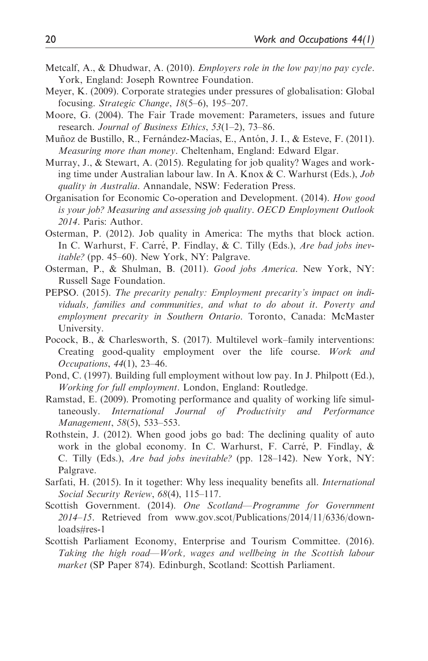- Metcalf, A., & Dhudwar, A. (2010). Employers role in the low pay/no pay cycle. York, England: Joseph Rowntree Foundation.
- Meyer, K. (2009). Corporate strategies under pressures of globalisation: Global focusing. Strategic Change, 18(5–6), 195–207.
- Moore, G. (2004). The Fair Trade movement: Parameters, issues and future research. Journal of Business Ethics, 53(1–2), 73–86.
- Muñoz de Bustillo, R., Fernández-Macías, E., Antón, J. I., & Esteve, F. (2011). Measuring more than money. Cheltenham, England: Edward Elgar.
- Murray, J., & Stewart, A. (2015). Regulating for job quality? Wages and working time under Australian labour law. In A. Knox & C. Warhurst (Eds.), Job quality in Australia. Annandale, NSW: Federation Press.
- Organisation for Economic Co-operation and Development. (2014). How good is your job? Measuring and assessing job quality. OECD Employment Outlook 2014. Paris: Author.
- Osterman, P. (2012). Job quality in America: The myths that block action. In C. Warhurst, F. Carré, P. Findlay, & C. Tilly (Eds.), Are bad jobs inevitable? (pp. 45–60). New York, NY: Palgrave.
- Osterman, P., & Shulman, B. (2011). Good jobs America. New York, NY: Russell Sage Foundation.
- PEPSO. (2015). The precarity penalty: Employment precarity's impact on individuals, families and communities, and what to do about it. Poverty and employment precarity in Southern Ontario. Toronto, Canada: McMaster University.
- Pocock, B., & Charlesworth, S. (2017). Multilevel work–family interventions: Creating good-quality employment over the life course. Work and Occupations, 44(1), 23–46.
- Pond, C. (1997). Building full employment without low pay. In J. Philpott (Ed.), Working for full employment. London, England: Routledge.
- Ramstad, E. (2009). Promoting performance and quality of working life simultaneously. International Journal of Productivity and Performance Management, 58(5), 533–553.
- Rothstein, J. (2012). When good jobs go bad: The declining quality of auto work in the global economy. In C. Warhurst, F. Carré, P. Findlay,  $\&$ C. Tilly (Eds.), Are bad jobs inevitable? (pp. 128–142). New York, NY: Palgrave.
- Sarfati, H. (2015). In it together: Why less inequality benefits all. International Social Security Review, 68(4), 115–117.
- Scottish Government. (2014). One Scotland-Programme for Government 2014–15. Retrieved from [www.gov.scot/Publications/2014/11/6336/down](www.gov.scot/Publications/2014/11/6336/downloads#res-1)[loads#res-1](www.gov.scot/Publications/2014/11/6336/downloads#res-1)
- Scottish Parliament Economy, Enterprise and Tourism Committee. (2016). Taking the high road—Work, wages and wellbeing in the Scottish labour market (SP Paper 874). Edinburgh, Scotland: Scottish Parliament.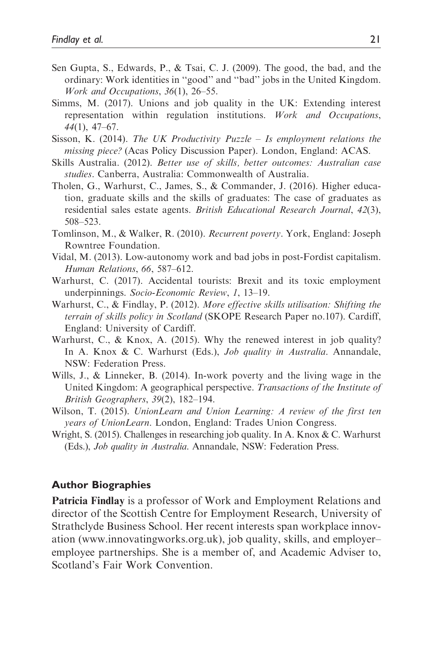- Sen Gupta, S., Edwards, P., & Tsai, C. J. (2009). The good, the bad, and the ordinary: Work identities in ''good'' and ''bad'' jobs in the United Kingdom. Work and Occupations, 36(1), 26–55.
- Simms, M. (2017). Unions and job quality in the UK: Extending interest representation within regulation institutions. Work and Occupations, 44(1), 47–67.
- Sisson, K. (2014). The UK Productivity Puzzle Is employment relations the missing piece? (Acas Policy Discussion Paper). London, England: ACAS.
- Skills Australia. (2012). Better use of skills, better outcomes: Australian case studies. Canberra, Australia: Commonwealth of Australia.
- Tholen, G., Warhurst, C., James, S., & Commander, J. (2016). Higher education, graduate skills and the skills of graduates: The case of graduates as residential sales estate agents. British Educational Research Journal, 42(3), 508–523.
- Tomlinson, M., & Walker, R. (2010). Recurrent poverty. York, England: Joseph Rowntree Foundation.
- Vidal, M. (2013). Low-autonomy work and bad jobs in post-Fordist capitalism. Human Relations, 66, 587–612.
- Warhurst, C. (2017). Accidental tourists: Brexit and its toxic employment underpinnings. Socio-Economic Review, 1, 13–19.
- Warhurst, C., & Findlay, P. (2012). More effective skills utilisation: Shifting the terrain of skills policy in Scotland (SKOPE Research Paper no.107). Cardiff, England: University of Cardiff.
- Warhurst, C., & Knox, A. (2015). Why the renewed interest in job quality? In A. Knox & C. Warhurst (Eds.), *Job quality in Australia*. Annandale, NSW: Federation Press.
- Wills, J., & Linneker, B. (2014). In-work poverty and the living wage in the United Kingdom: A geographical perspective. Transactions of the Institute of British Geographers, 39(2), 182–194.
- Wilson, T. (2015). UnionLearn and Union Learning: A review of the first ten years of UnionLearn. London, England: Trades Union Congress.
- Wright, S. (2015). Challenges in researching job quality. In A. Knox & C. Warhurst (Eds.), Job quality in Australia. Annandale, NSW: Federation Press.

#### Author Biographies

Patricia Findlay is a professor of Work and Employment Relations and director of the Scottish Centre for Employment Research, University of Strathclyde Business School. Her recent interests span workplace innovation (<www.innovatingworks.org.uk>), job quality, skills, and employer– employee partnerships. She is a member of, and Academic Adviser to, Scotland's Fair Work Convention.